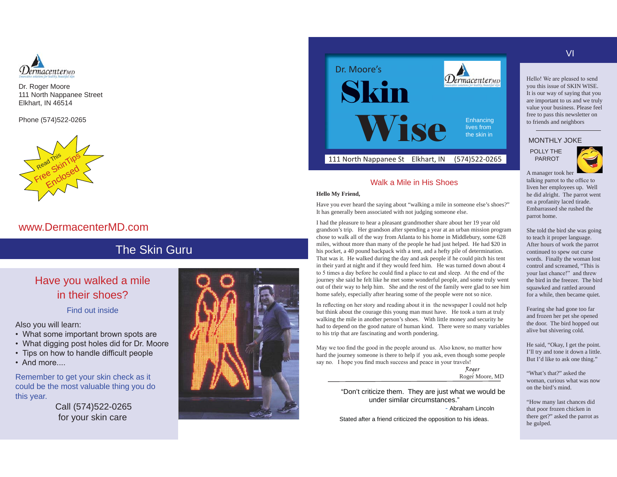

Dr. Roger Moore 111 North Nappanee Street Elkhart, IN 46514

Phone (574)522-0265



## www.DermacenterMD.com

# The Skin Guru

# Have you walked a mile in their shoes?

Find out inside

Also you will learn:

- What some important brown spots are
- What digging post holes did for Dr. Moore
- Tips on how to handle difficult people
- And more....

Remember to get your skin check as it could be the most valuable thing you do this year.

Call (574)522-0265 for your skin care





## Walk a Mile in His Shoes

#### **Hello My Friend,**

Have you ever heard the saying about "walking a mile in someone else's shoes?" It has generally been associated with not judging someone else.

I had the pleasure to hear a pleasant grandmother share about her 19 year old grandson's trip. Her grandson after spending a year at an urban mission program chose to walk all of the way from Atlanta to his home in Middlebury, some 628 miles, without more than many of the people he had just helped. He had \$20 in his pocket, a 40 pound backpack with a tent, and a hefty pile of determination. That was it. He walked during the day and ask people if he could pitch his tent in their yard at night and if they would feed him. He was turned down about 4 to 5 times a day before he could find a place to eat and sleep. At the end of the journey she said he felt like he met some wonderful people, and some truly went out of their way to help him. She and the rest of the family were glad to see him home safely, especially after hearing some of the people were not so nice.

In reflecting on her story and reading about it in the newspaper I could not help but think about the courage this young man must have. He took a turn at truly walking the mile in another person's shoes. With little money and security he had to depend on the good nature of human kind. There were so many variables to his trip that are fascinating and worth pondering.

May we too find the good in the people around us. Also know, no matter how hard the journey someone is there to help if you ask, even though some people say no. I hope you find much success and peace in your travels!

Roger Roger Moore, MD

"Don't criticize them. They are just what we would be under similar circumstances."

- Abraham Lincoln

Stated after a friend criticized the opposition to his ideas.

VI

Hello! We are pleased to send you this issue of SKIN WISE. It is our way of saying that you are important to us and we truly value your business. Please feel free to pass this newsletter on to friends and neighbors

#### MONTHLY JOKE

POLLY THE PARROT



A manager took her talking parrot to the office to liven her employees up. Well he did alright. The parrot went on a profanity laced tirade. Embarrassed she rushed the parrot home.

She told the bird she was going to teach it proper language. After hours of work the parrot continued to spew out curse words. Finally the woman lost control and screamed, "This is your last chance!" and threw the bird in the freezer. The bird squawked and rattled around for a while, then became quiet.

Fearing she had gone too far and frozen her pet she opened the door. The bird hopped out alive but shivering cold.

He said, "Okay, I get the point. I'll try and tone it down a little. But I'd like to ask one thing."

"What's that?" asked the woman, curious what was now on the bird's mind.

"How many last chances did that poor frozen chicken in there get?" asked the parrot as he gulped.